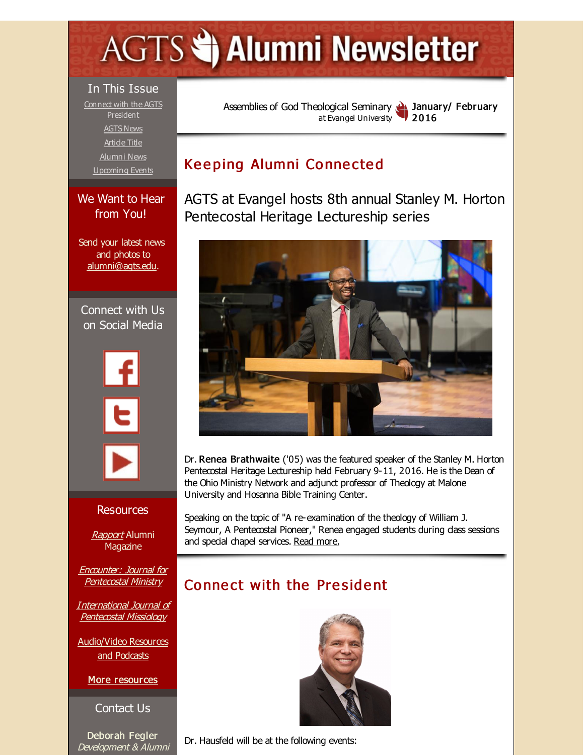# <span id="page-0-0"></span>**AGTS Statement Newsletter**

#### In This Issue

Connect with the AGTS [President](#page-0-0) [AGTS](#page-0-0) News Artide Title [Alumni](#page-0-0) News [Upcoming](#page-0-0) Events

#### We Want to Hear from You!

Send your latest news and photos to [alumni@agts.edu](mailto:alumni@agts.edu).

Connect with Us on Social Media



#### Resources

**[Rapport](http://r20.rs6.net/tn.jsp?f=001o0MNdipVzC68gqEQPUtgFcASxsous1y1d1ZQnw59bF2qNkv1AWvlqWKj2phVO3gD77m1l8lWQGeZJrefVxT2WjesETBK8jsnUnIFBOOlN8bKJmP7b64gOOgpRSmTIQDMdD0YSbwd-FwffV-FvbgsGElBFZKvcMFKE1QzrueAedcECBpSjEayd7-BTjsbpwZC&c=&ch=)** Alumni **Magazine** 

Encounter: Journal for [Pentecostal](http://r20.rs6.net/tn.jsp?f=001o0MNdipVzC68gqEQPUtgFcASxsous1y1d1ZQnw59bF2qNkv1AWvlqTrTirG1-tObHPGtbKmuF0WdTMrPgY3LImzz4Lbz8vxCZGOXGYt5TbvFTDK6IOuA8z_qG9MPWg-VfGm2-AB3TCLDarmv8keLI_a4c9cH3gj1EY8EDFZJt67j3lURLf3BIQdjOiC2dWE6&c=&ch=) Ministry

[International](http://r20.rs6.net/tn.jsp?f=001o0MNdipVzC68gqEQPUtgFcASxsous1y1d1ZQnw59bF2qNkv1AWvlqWZ7WiYi-VavotvBlMo5R5-WTJxS9DhxrAU06mNkHe0Egm_utumfAxvfmwvaIB9a9hXjw-l-PwpDBx3INldWoPBYs8s-79twxk-lxfkMu9YG_8uHdbiUsJtcKX_ywc-YZQ8eonFWLWg2&c=&ch=) Journal of Pentecostal Missiology

[Audio/Video](http://r20.rs6.net/tn.jsp?f=001o0MNdipVzC68gqEQPUtgFcASxsous1y1d1ZQnw59bF2qNkv1AWvlqf0T5PaXV0W28Xo69nctWJY7Mw5YB2nCthlOvAHjkEMAI48BNv5r620uNX6_H6nM9rgCY77SUgSi0LrTUGonERpoa2TbATlyvNYiFyrZzHF-tElaqmWm2LqhEHXcYUQ8xhgxIJUG-XHJ&c=&ch=) Resources and Podcasts

More [resources](http://r20.rs6.net/tn.jsp?f=001o0MNdipVzC68gqEQPUtgFcASxsous1y1d1ZQnw59bF2qNkv1AWvlqRIMqMXRXVi6YJ055fGeKiq96ZtWszF9WDpOFvGSDZXFLPMAsWMIDqP5yRAW98bHv4eiMGpztwJZhtVBHz3oNG8qcv-BJwA_G0XV_KLZLRDmecMLHYLAtqVDD6D5kJe27kRcljhT6e9ZPQBd3kwmkCk=&c=&ch=)

Contact Us

Deborah Fegler Development & Alumni Assemblies of God [Theological](http://r20.rs6.net/tn.jsp?f=001o0MNdipVzC68gqEQPUtgFcASxsous1y1d1ZQnw59bF2qNkv1AWvlqdtWWCnCrMif8Gi3Gk7_43wQCuVmYDO928ltLosFeHC40VRSE7IvV_CB-pVguj03tyIyL6CgbL657R9E3d9bQwvIBv_gVBILn8eXz9eD9KeP&c=&ch=) Seminary at Evangel University January/ February 2 0 16

# Keeping Alumni Connected

AGTS at Evangel hosts 8th annual Stanley M. Horton Pentecostal Heritage Lectureship series



Dr. Renea Brathwaite ('05) was the featured speaker of the Stanley M. Horton Pentecostal Heritage Lectureship held February 9-11, 2016. He is the Dean of the Ohio Ministry Network and adjunct professor of Theology at Malone University and Hosanna Bible Training Center.

Speaking on the topic of "A re-examination of the theology of William J. Seymour, A Pentecostal Pioneer," Renea engaged students during dass sessions and special chapel services. Read [more.](http://r20.rs6.net/tn.jsp?f=001o0MNdipVzC68gqEQPUtgFcASxsous1y1d1ZQnw59bF2qNkv1AWvlqWSCAgf95C7yGjYW7GC21109hPhnf-IDIqF1h45st8Iw41ppjLiK9H3M-4drq2bDMQe2Xm5oDU6svYzr45W_9wynybQQ9-YDEv9HL_z6cih7SJMTSDElRTq0b0utYf5HfHNlwDT2OEkFPuWDT91gr9f2nxBQM9UVMSIq2cb8qi6utZwalBWlEms=&c=&ch=)

# Connect with the President



Dr. Hausfeld will be at the following events: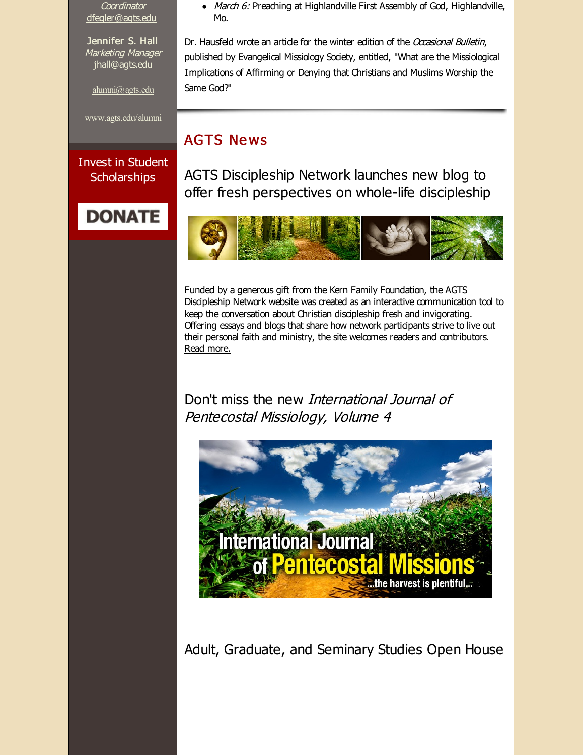**Coordinator** [dfegler@agts.edu](mailto:dfegler@agts.edu)

Jennifer S. Hall Marketing Manager [jhall@agts.edu](mailto:jhall@agts.edu)

[alumni@agts.edu](mailto:alumni@agts.edu)

[www.agts.edu/alumni](http://r20.rs6.net/tn.jsp?f=001o0MNdipVzC68gqEQPUtgFcASxsous1y1d1ZQnw59bF2qNkv1AWvlqVO1f4jc83jDu0phB023FIc80OC6gcUaucW_j821fJUEeAs4fZbtFeT_rT-YyaWUN34mDsLD_sSQtzHC5XK6aY8JzXRl_ATCqv3kGVzawkiFzB7y6VfNtWo0ji_X9YMTEA==&c=&ch=)

Invest in Student **Scholarships** 

# **DONATE**

March 6: Preaching at Highlandville First Assembly of God, Highlandville, Mo.

Dr. Hausfeld wrote an artide for the winter edition of the Occasional Bulletin, published by Evangelical Missiology Society, entitled, "What are the Missiological Implications of Affirming or Denying that Christians and Muslims Worship the Same God?"

# **AGTS News**

AGTS Discipleship Network launches new blog to offer fresh perspectives on whole-life discipleship



Funded by a generous gift from the Kern Family Foundation, the AGTS Discipleship Network website was created as an interactive communication tool to keep the conversation about Christian discipleship fresh and invigorating. Offering essays and blogs that share how network participants strive to live out their personal faith and ministry, the site welcomes readers and contributors. Read [more.](http://r20.rs6.net/tn.jsp?f=001o0MNdipVzC68gqEQPUtgFcASxsous1y1d1ZQnw59bF2qNkv1AWvlqf7if2lwzDqS3KyZqm8CJuXqoPLr0kISqDIG7ao3JjyoPznCp-js5WvUObAnyvegiue77RW179VBYTyHNCdB5Fj-JSLqF-QQ_zi25HnWyFcXa2QamHazWThW8SEeToLQmtWl7UMMPtrige3bTi31ink=&c=&ch=)

# Don't miss the new International Journal of Pentecostal Missiology, Volume 4



Adult, Graduate, and Seminary Studies Open House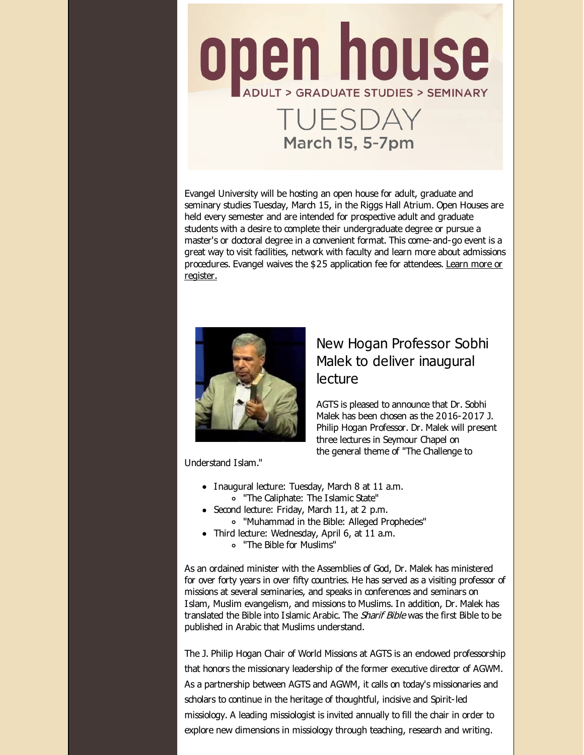

Evangel University will be hosting an open house for adult, graduate and seminary studies Tuesday, March 15, in the Riggs Hall Atrium. Open Houses are held every semester and are intended for prospective adult and graduate students with a desire to complete their undergraduate degree or pursue a master's or doctoral degree in a convenient format. This come-and-go event is a great way to visit facilities, network with faculty and learn more about admissions [procedures.](http://r20.rs6.net/tn.jsp?f=001o0MNdipVzC68gqEQPUtgFcASxsous1y1d1ZQnw59bF2qNkv1AWvlqf7if2lwzDqScsLRjewMqlTxtKN5joApLWxM7Nv-3MhLmzB-41aukv2Q0-yVEyVRqvTfg5FvMrlXvSec5lWwhHQVhxoYHWA2Q6rN8Q29aZn5RCmo9l9QsQj2iuNVkOUk9Dr62k7NKO7RyhpURApg34Bf5QZ4oNA08Ljmhx2q6fI8H4IIUpnV074=&c=&ch=) Evangel waives the \$25 application fee for attendees. Learn more or register.



## New Hogan Professor Sobhi Malek to deliver inaugural lecture

AGTS is pleased to announce that Dr. Sobhi Malek has been chosen as the 2016-2017 J. Philip Hogan Professor. Dr. Malek will present three lectures in Seymour Chapel on the general theme of "The Challenge to

Understand Islam."

- Inaugural lecture: Tuesday, March 8 at 11 a.m. "The Caliphate: The Islamic State"
- Second lecture: Friday, March 11, at 2 p.m.
	- "Muhammad in the Bible: Alleged Prophecies"
- Third lecture: Wednesday, April 6, at 11 a.m. "The Bible for Muslims"

As an ordained minister with the Assemblies of God, Dr. Malek has ministered for over forty years in over fifty countries. He has served as a visiting professor of missions at several seminaries, and speaks in conferences and seminars on Islam, Muslim evangelism, and missions to Muslims. In addition, Dr. Malek has translated the Bible into Islamic Arabic. The *Sharif Bible* was the first Bible to be published in Arabic that Muslims understand.

The J. Philip Hogan Chair of World Missions at AGTS is an endowed professorship that honors the missionary leadership of the former executive director of AGWM. As a partnership between AGTS and AGWM, it calls on today's missionaries and scholars to continue in the heritage of thoughtful, incisive and Spirit-led missiology. A leading missiologist is invited annually to fill the chair in order to explore new dimensions in missiology through teaching, research and writing.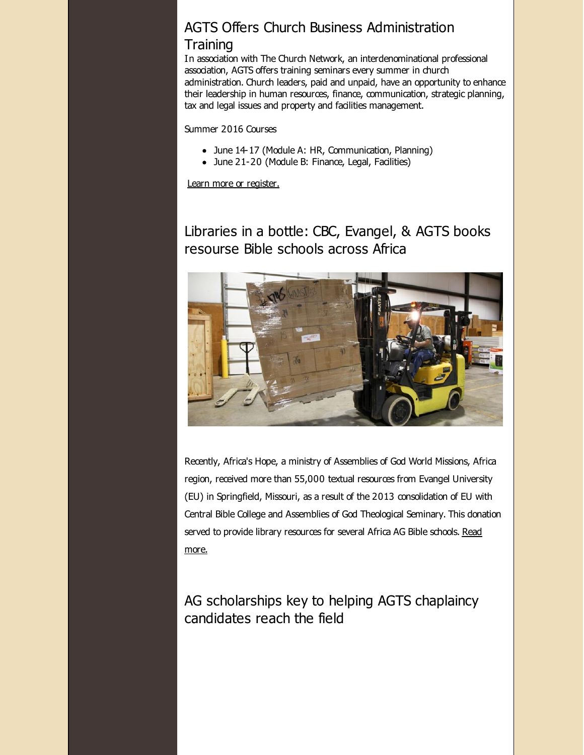# AGTS Offers Church Business Administration

#### **Training**

In association with The Church Network, an interdenominational professional association, AGTS offers training seminars every summer in church administration. Church leaders, paid and unpaid, have an opportunity to enhance their leadership in human resources, finance, communication, strategic planning, tax and legal issues and property and facilities management.

Summer 2016 Courses

- June 14-17 (Module A: HR, Communication, Planning)
- June 21-20 (Module B: Finance, Legal, Facilities)

Learn more or [register.](http://r20.rs6.net/tn.jsp?f=001o0MNdipVzC68gqEQPUtgFcASxsous1y1d1ZQnw59bF2qNkv1AWvlqbevPgqZ5ai-AjYJ91SWaWoT5vr_oVHPwgfOOlVMWjvEGQaLf4KzA-F6EOaI1Zrmx4riNfUb8Na1rfI2R0cqtgHRvfcCDZe7peWmM0u_rOtNTu-OfC2vhgbtUvBVpMMZRNV8Y8-VXiPzd6yEwT99j7xB09Shn80myzh05aRTRvAmV40br8aylvY=&c=&ch=)

# Libraries in a bottle: CBC, Evangel, & AGTS books resourse Bible schools across Africa



Recently, Africa's Hope, a ministry of Assemblies of God World Missions, Africa region, received more than 55,000 textual resources from Evangel University (EU) in Springfield, Missouri, as a result of the 2013 consolidation of EU with Central Bible College and Assemblies of God Theological Seminary. This donation served to provide library [resources](http://r20.rs6.net/tn.jsp?f=001o0MNdipVzC68gqEQPUtgFcASxsous1y1d1ZQnw59bF2qNkv1AWvlqf7if2lwzDqSEgCxm3Z1KVW1HAgfuuX8oM7WoV7AJLvrz_xRPxfUPsSQ_7DHIdAswoXpcTdeeBIk_TGZwQzeWamg6A1p_lAzOFhKL8y44_81VxFEQ-XdsqmLX9BVB1ZNHX8sBirZfRXzjLBJnleHjaYxm5QCAQlbA9s8UsHDw_jYrCGvvOy4fwg=&c=&ch=) for several Africa AG Bible schools. Read more.

AG scholarships key to helping AGTS chaplaincy candidates reach the field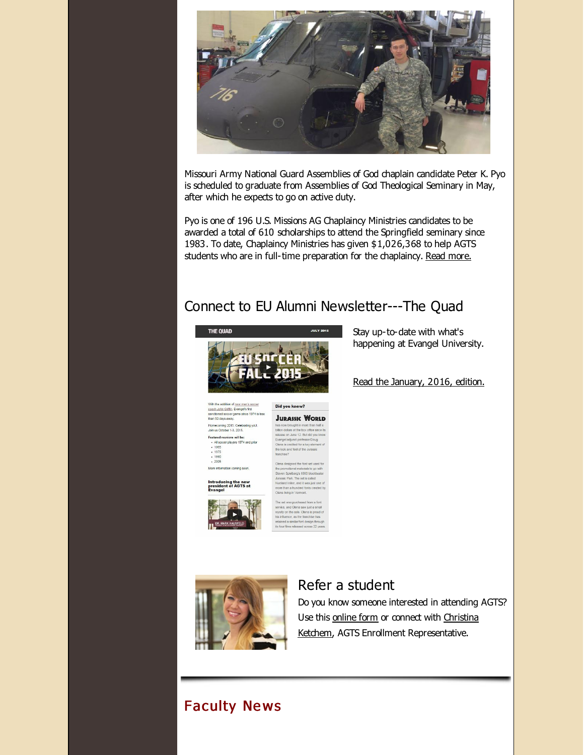

Missouri Army National Guard Assemblies of God chaplain candidate Peter K. Pyo is scheduled to graduate from Assemblies of God Theological Seminary in May, after which he expects to go on active duty.

Pyo is one of 196 U.S. Missions AG Chaplaincy Ministries candidates to be awarded a total of 610 scholarships to attend the Springfield seminary since 1983. To date, Chaplaincy Ministries has given \$1,026,368 to help AGTS students who are in full-time preparation for the chaplaincy. Read [more.](http://r20.rs6.net/tn.jsp?f=001o0MNdipVzC68gqEQPUtgFcASxsous1y1d1ZQnw59bF2qNkv1AWvlqWSCAgf95C7ylJyb1AOVWTpruwZh_rL-w04vH7ii1dJO-ZRyzxWVLN3kKxnOXrP54L2NWfUqFTwqdwiyfVzZjD7FEVCO4vppklMoAgpR4hJEJcZ-j_9Nw8_xyx520p3H70izNKU1L3Dn1wI_sSDZrFkWskkGpr6TEFmDu4-Bkglm&c=&ch=)

# Connect to EU Alumni Newsletter---The Quad



happening at Evangel University.

Read the [January,](http://r20.rs6.net/tn.jsp?f=001o0MNdipVzC68gqEQPUtgFcASxsous1y1d1ZQnw59bF2qNkv1AWvlqWSCAgf95C7yR8BkYOuQ4inDnpXMRNjjBQIZclgBYBxevSZetwh9dUhJ604o6nsxu1eqJLH2Zubk-qU9vd2rm7qFFgksT9HuCnfHLEQFZvMX-RZeGyAQ-81CowFR_d-NxW7ihsZhS3G6hh_Gt4-2K5VtkjiToYRMyTYTZLooB44o&c=&ch=) 2016, edition.

Stay up-to-date with what's

of new men's soccer coach John Griffin, Evangel's first<br>sanctioned soccer game since 1974 is less<br>than 50 days away. .<br>Homecoming 2015: Celebra<br>Join us October 1-3, 2015. Featured reunions will be: er players 1974 and prior 1975  $.2005$ More information coming soon.

Introducing the new<br>president of AGTS at<br>Evangel



ted for a key eler e look and feel of the Jura

**JURASSIC WORLD** 

e 12. But did vo

Did you know?



and Olena saw just a sma



#### Refer a student

Do you know someone interested in attending AGTS? Use this [online](http://r20.rs6.net/tn.jsp?f=001o0MNdipVzC68gqEQPUtgFcASxsous1y1d1ZQnw59bF2qNkv1AWvlqXDtKJHp64aiAaloClvDGoXGW6Bjo3-jIuRPKRb1XlE4-MF00Vc70UfdWOD04Ga8saOFTCZV4qeHkHnlSmcio2rSCbwNxq5fyZuhdpfMUxEl1tqyY87wJeD7-xZeiJ78HQjrxfZs5tZ6&c=&ch=) form or connect with Christina Ketchem, AGTS Enrollment [Representative.](mailto:cketchem@evangel.edu)

# Faculty Ne ws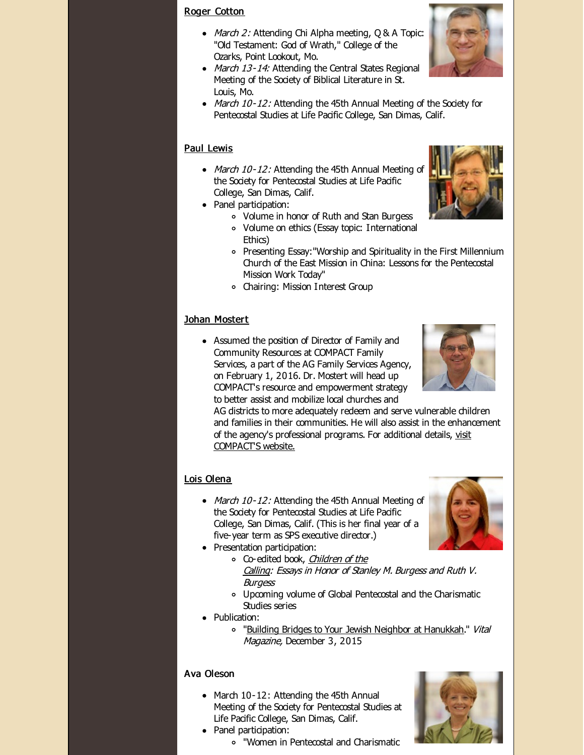#### Roger [Cotton](http://r20.rs6.net/tn.jsp?f=001o0MNdipVzC68gqEQPUtgFcASxsous1y1d1ZQnw59bF2qNkv1AWvlqf7if2lwzDqSKcoFJyuLNG-4tGK18HfX3ig0Cr0kZgYI8neTyoHfXu9Q306JK2q5E-U-q0bn0hi6Hi-VgtHHv3Zkn-m2MHNaGRp-IK9KwU27XcIpTeKQgOgjXyMk2It_ZIKgEQmqAr4N&c=&ch=)

- $\bullet$  *March 2:* Attending Chi Alpha meeting, Q & A Topic: "Old Testament: God of Wrath," College of the Ozarks, Point Lookout, Mo.
- March 13-14: Attending the Central States Regional Meeting of the Society of Biblical Literature in St. Louis, Mo.
- March 10-12: Attending the 45th Annual Meeting of the Society for Pentecostal Studies at Life Pacific College, San Dimas, Calif.

#### Paul [Lewis](http://r20.rs6.net/tn.jsp?f=001o0MNdipVzC68gqEQPUtgFcASxsous1y1d1ZQnw59bF2qNkv1AWvlqa6GrNsdxMUfxiJW1M2Ew_JHwMHEMc3idUoLEqQ_3s-cgRvDRBWkqwxnDPMjKiyyjWny4msjnK3aKVCw7pUT3hv57udqhnhUtZwdBIx6VyU0O38yuld7X3YWzQgGtNm77gBRfxgaFel_&c=&ch=)

- March 10-12: Attending the 45th Annual Meeting of the Society for Pentecostal Studies at Life Pacific College, San Dimas, Calif.
- Panel participation:
	- Volume in honor of Ruth and Stan Burgess
	- Volume on ethics (Essay topic: International Ethics)
	- Presenting Essay:"Worship and Spirituality in the First Millennium Church of the East Mission in China: Lessons for the Pentecostal Mission Work Today"
	- Chairing: Mission Interest Group

#### Johan [Mostert](http://r20.rs6.net/tn.jsp?f=001o0MNdipVzC68gqEQPUtgFcASxsous1y1d1ZQnw59bF2qNkv1AWvlqa6GrNsdxMUfd54JQvThv2BbCLLbzqvfJJbDuAXJBTCJOMUV3AjMOO7S6c_eAOTboXg9-eyFiwCJXCCu1rJxVc5R7vHVNsmX2u53IaAko9CjfVZtEYdbXxV-q7wEUsc2-SbjFKoLsvQD&c=&ch=)

Assumed the position of Director of Family and Community Resources at COMPACT Family Services, a part of the AG Family Services Agency, on February 1, 2016. Dr. Mostert will head up COMPACT's resource and empowerment strategy to better assist and mobilize local churches and

AG districts to more adequately redeem and serve vulnerable children and families in their communities. He will also assist in the enhancement of the agency's [professional](http://r20.rs6.net/tn.jsp?f=001o0MNdipVzC68gqEQPUtgFcASxsous1y1d1ZQnw59bF2qNkv1AWvlqbyVoZc9JTkQ6lof5G8M6GQdqZian4N4cf6wt1KXmmzrbG2NwlY8GefAS2m3HBBbYYimKzJp44CGL30N9i8gJ6nr7bqyVK6O-xHhAi3Gwtzz7kjxOuPEX1QQ6EjpMkv9yKnPyuY4Ks4Pj-KatFdGW9IbqDw1zEUp0YcOCgN7Xj9By8bhfo8HPpfaGfuWuY1OFBhLww5qW3vJQnKB-6d2urM=&c=&ch=) programs. For additional details, visit COMPACT'S website.

#### Lois [Olena](http://r20.rs6.net/tn.jsp?f=001o0MNdipVzC68gqEQPUtgFcASxsous1y1d1ZQnw59bF2qNkv1AWvlqVTlo2qwR5AISipl1LW7p9FZuIQKTdTCIeouft2xmv7NxfDxEvob9Tu1YMjTkLofRDerskK1sIn5fnxg-zlr6X7nBAKhwNn4IaemmMpetSaA-VZqIgNExnNQn3ecbpzaWAmHbUz4AhLg&c=&ch=)

- March 10-12: Attending the 45th Annual Meeting of the Society for Pentecostal Studies at Life Pacific College, San Dimas, Calif. (This is her final year of a five-year term as SPS executive director.)
- Presentation participation:
	- o [Co-edited](http://r20.rs6.net/tn.jsp?f=001o0MNdipVzC68gqEQPUtgFcASxsous1y1d1ZQnw59bF2qNkv1AWvlqf7if2lwzDqSf8Y1O6PUUgiVPtC4Im6bO3p7JASeG9kDlP5EV-GtKGbcmWMWjU1mM6-chBbUXEd8V7oF14KH0ssWbspUmlsNorwyC3KbzepsigGFEBuld53bSj5btHurjm-Ql4qsIGnSKgJF0-JIGDJ0G0uBdfbotksfl0htQHnskocPDSAIsD_bwi_5FpuU-Q==&c=&ch=) book, *Children of the* Calling: Essays in Honor of Stanley M. Burgess and Ruth V. **Burgess**
	- Upcoming volume of Global Pentecostal and the Charismatic Studies series
- Publication:
	- o "Building Bridges to Your Jewish Neighbor at [Hanukkah](http://r20.rs6.net/tn.jsp?f=001o0MNdipVzC68gqEQPUtgFcASxsous1y1d1ZQnw59bF2qNkv1AWvlqSusPnLITkuXCfQUcSD-dH_0P9uHaUDr1ZXrCFSOuF5GbVySK_kkgb0EdeCxTraIugHRYx-6kN57dTsEqMv1molNAiatA3vG4Ebz7Wk3QwqFutZdnVc7KIlMVw5ptrW4WhSEj8lwbMPN2MUvaLzSEc3D8WQ1ulbsQKGwtxWCaZF4zeBambaUVKtdT6lNWvBAoZaH4MadYENs&c=&ch=)." Vital Magazine, December 3, 2015

#### Ava Oleson

- March 10-12: Attending the 45th Annual Meeting of the Society for Pentecostal Studies at Life Pacific College, San Dimas, Calif.
- Panel participation:
	- "Women in Pentecostal and Charismatic









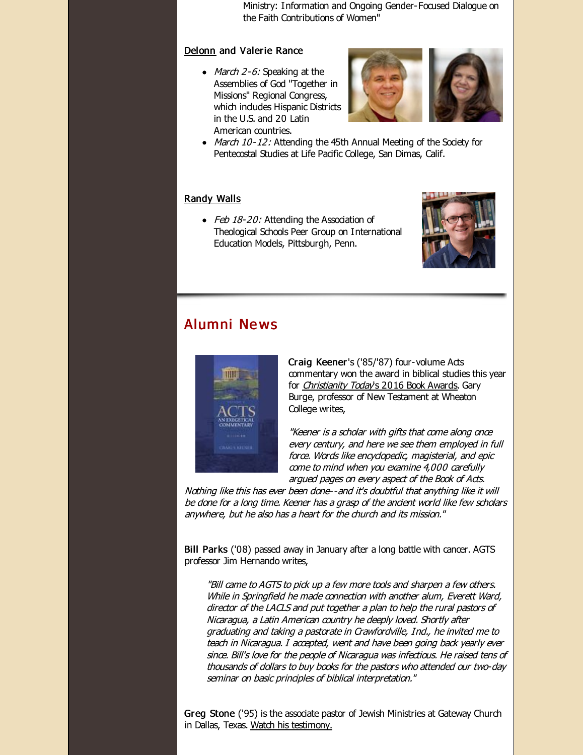Ministry: Information and Ongoing Gender-Focused Dialogue on the Faith Contributions of Women"

#### [Delonn](http://r20.rs6.net/tn.jsp?f=001o0MNdipVzC68gqEQPUtgFcASxsous1y1d1ZQnw59bF2qNkv1AWvlqa6GrNsdxMUflHOyFgr7h4yYS4UWKdlikvVaYLJZfe6KFH6O81y9ryMEH5qouoebxdeUiuJse35tK056_dyuJXVJScgwQ4FVPT6yz6W2TSXzMIBdJt_SgJUdgy76flLNJQVL0d0IbWIQ&c=&ch=) and Valerie Rance

• March  $2-6$ : Speaking at the Assemblies of God "Together in Missions" Regional Congress, which indudes Hispanic Districts in the U.S. and 20 Latin American countries.



• March 10-12: Attending the 45th Annual Meeting of the Society for Pentecostal Studies at Life Pacific College, San Dimas, Calif.

#### [Randy](http://r20.rs6.net/tn.jsp?f=001o0MNdipVzC68gqEQPUtgFcASxsous1y1d1ZQnw59bF2qNkv1AWvlqWSCAgf95C7yfq_CkpLUSpV_xtHwg-4EN0uoXqirypjK3wO3WQZjon983DY-193PwNTjkuyuBHHjgG_MKdNp_zaEBPPuT_KB12IelA6EJPBDw-tte0jFgptDbgKM3hOa3yS9l9S3WZGn&c=&ch=) Walls

• Feb 18-20: Attending the Association of Theological Schools Peer Group on International Education Models, Pittsburgh, Penn.



#### Alumni Ne ws



Craig Keener's ('85/'87) four-volume Acts commentary won the award in biblical studies this year for [Christianity](http://r20.rs6.net/tn.jsp?f=001o0MNdipVzC68gqEQPUtgFcASxsous1y1d1ZQnw59bF2qNkv1AWvlqWSCAgf95C7yo7BxpiJGAYbebZ8K9UgMeohzGQD3VXg38sl65KV7XF6disUXVAJeicTDb-TG6ecrUSQ4KLwIXbNW_L_gBzQSlxolqkT96StQRMmtPPvuNcrcovM-16JnDGG1wE33jJU77euklAZm5upu5P7k_LGhd4sFvwcCAM0o5qOk-_IJju7m_MubRlvwC2_YEbFWAsjZhJXI9KAj_ahrwjkjjrg5k2lmSTLg6OvsD25dyiX0o40yKKNUfA9kWRmXl0g_brEWjxETcEDGJO-_y9g9hLnV3BM0wwpPMn_7BrWG-Vkf02cqcnXO3iN3Th__s1Gassj551ptiRa8uN89sgmYY-_EcXUm08J1ry48OoOD0Q5_PZTglS_nMU-3btYlhHq8Gi-jqVJ6vHx8_7s=&c=&ch=) Today's 2016 Book Awards. Gary Burge, professor of New Testament at Wheaton College writes,

"Keener is <sup>a</sup> scholar with gifts that come along once every century, and here we see them employed in full force. Words like encyclopedic, magisterial, and epic come to mind when you examine 4,000 carefully argued pages on every aspect of the Book of Acts.

Nothing like this has ever been done--and it's doubtful that anything like it will be done for <sup>a</sup> long time. Keener has <sup>a</sup> grasp of the ancient world like few scholars anywhere, but he also has <sup>a</sup> heart for the church and its mission."

Bill Parks ('08) passed away in January after a long battle with cancer. AGTS professor Jim Hernando writes,

"Bill came to AGTS to pick up <sup>a</sup> few more tools and sharpen <sup>a</sup> few others. While in Springfield he made connection with another alum, Everett Ward, director of the LACLS and put together <sup>a</sup> plan to help the rural pastors of Nicaragua, <sup>a</sup> Latin American country he deeply loved. Shortly after graduating and taking <sup>a</sup> pastorate in Crawfordville, Ind., he invited me to teach in Nicaragua. I accepted, went and have been going back yearly ever since. Bill's love for the people of Nicaragua was infectious. He raised tens of thousands of dollars to buy books for the pastors who attended our two-day seminar on basic principles of biblical interpretation."

Greg Stone ('95) is the associate pastor of Jewish Ministries at Gateway Church in Dallas, Texas. Watch his [testimony.](http://r20.rs6.net/tn.jsp?f=001o0MNdipVzC68gqEQPUtgFcASxsous1y1d1ZQnw59bF2qNkv1AWvlqWSCAgf95C7y3HlRGuYDUnFScy72N0mnzWEbm2SNAPyNKp6BgkjZN0xazG-V-W3gEFcaBghdACRWW9iQ5GTuqvOvf9vvndLHjN6EB_VUvuA-Fmzpfq9Pg4hQdKaEejVOCxdVQAogbXk7z3mkHMAAcDg7j8pKF86WMKmdkc-JzFoKPK4ti6j2Q8o=&c=&ch=)